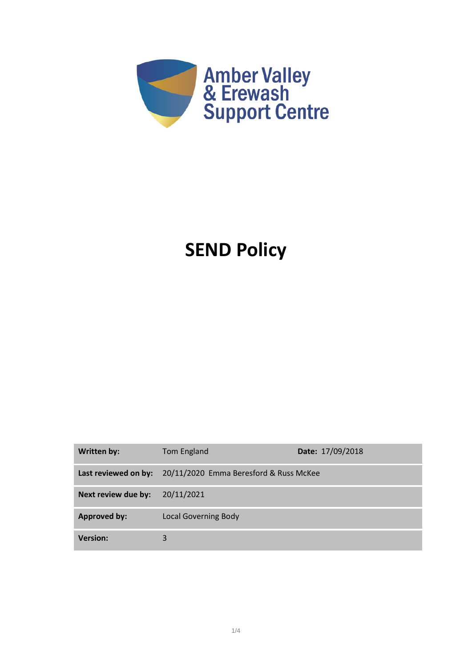

# **SEND Policy**

| Written by:          | Tom England                            | Date: 17/09/2018 |
|----------------------|----------------------------------------|------------------|
| Last reviewed on by: | 20/11/2020 Emma Beresford & Russ McKee |                  |
| Next review due by:  | 20/11/2021                             |                  |
| <b>Approved by:</b>  | <b>Local Governing Body</b>            |                  |
| <b>Version:</b>      | 3                                      |                  |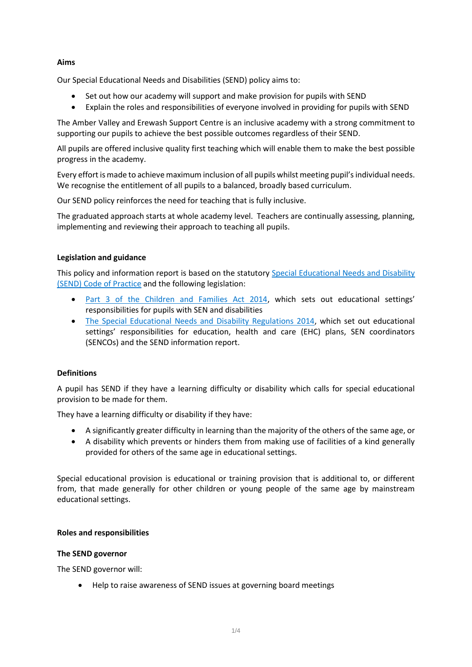# **Aims**

Our Special Educational Needs and Disabilities (SEND) policy aims to:

- Set out how our academy will support and make provision for pupils with SEND
- Explain the roles and responsibilities of everyone involved in providing for pupils with SEND

The Amber Valley and Erewash Support Centre is an inclusive academy with a strong commitment to supporting our pupils to achieve the best possible outcomes regardless of their SEND.

All pupils are offered inclusive quality first teaching which will enable them to make the best possible progress in the academy.

Every effort is made to achieve maximum inclusion of all pupils whilst meeting pupil's individual needs. We recognise the entitlement of all pupils to a balanced, broadly based curriculum.

Our SEND policy reinforces the need for teaching that is fully inclusive.

The graduated approach starts at whole academy level. Teachers are continually assessing, planning, implementing and reviewing their approach to teaching all pupils.

## **Legislation and guidance**

This policy and information report is based on the statutory [Special Educational Needs and Disability](https://www.gov.uk/government/uploads/system/uploads/attachment_data/file/398815/SEND_Code_of_Practice_January_2015.pdf)  [\(SEND\) Code of Practice](https://www.gov.uk/government/uploads/system/uploads/attachment_data/file/398815/SEND_Code_of_Practice_January_2015.pdf) and the following legislation:

- [Part 3 of the Children and Families Act 2014](http://www.legislation.gov.uk/ukpga/2014/6/part/3), which sets out educational settings' responsibilities for pupils with SEN and disabilities
- [The Special Educational Needs and Disability Regulations 2014,](http://www.legislation.gov.uk/uksi/2014/1530/contents/made) which set out educational settings' responsibilities for education, health and care (EHC) plans, SEN coordinators (SENCOs) and the SEND information report.

## **Definitions**

A pupil has SEND if they have a learning difficulty or disability which calls for special educational provision to be made for them.

They have a learning difficulty or disability if they have:

- A significantly greater difficulty in learning than the majority of the others of the same age, or
- A disability which prevents or hinders them from making use of facilities of a kind generally provided for others of the same age in educational settings.

Special educational provision is educational or training provision that is additional to, or different from, that made generally for other children or young people of the same age by mainstream educational settings.

## **Roles and responsibilities**

## **The SEND governor**

The SEND governor will:

• Help to raise awareness of SEND issues at governing board meetings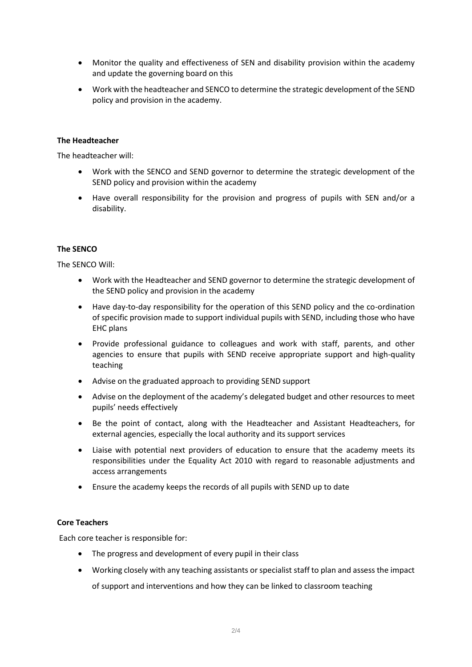- Monitor the quality and effectiveness of SEN and disability provision within the academy and update the governing board on this
- Work with the headteacher and SENCO to determine the strategic development of the SEND policy and provision in the academy.

## **The Headteacher**

The headteacher will:

- Work with the SENCO and SEND governor to determine the strategic development of the SEND policy and provision within the academy
- Have overall responsibility for the provision and progress of pupils with SEN and/or a disability.

## **The SENCO**

The SENCO Will:

- Work with the Headteacher and SEND governor to determine the strategic development of the SEND policy and provision in the academy
- Have day-to-day responsibility for the operation of this SEND policy and the co-ordination of specific provision made to support individual pupils with SEND, including those who have EHC plans
- Provide professional guidance to colleagues and work with staff, parents, and other agencies to ensure that pupils with SEND receive appropriate support and high-quality teaching
- Advise on the graduated approach to providing SEND support
- Advise on the deployment of the academy's delegated budget and other resources to meet pupils' needs effectively
- Be the point of contact, along with the Headteacher and Assistant Headteachers, for external agencies, especially the local authority and its support services
- Liaise with potential next providers of education to ensure that the academy meets its responsibilities under the Equality Act 2010 with regard to reasonable adjustments and access arrangements
- Ensure the academy keeps the records of all pupils with SEND up to date

## **Core Teachers**

Each core teacher is responsible for:

- The progress and development of every pupil in their class
- Working closely with any teaching assistants or specialist staff to plan and assess the impact of support and interventions and how they can be linked to classroom teaching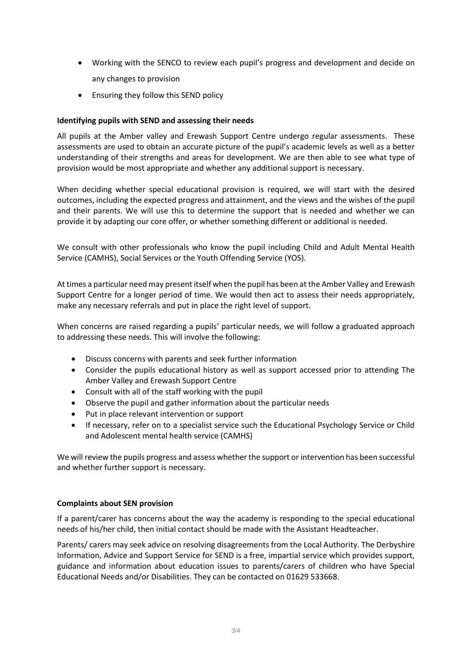- Working with the SENCO to review each pupil's progress and development and decide on any changes to provision
- Ensuring they follow this SEND policy

# **Identifying pupils with SEND and assessing their needs**

All pupils at the Amber valley and Erewash Support Centre undergo regular assessments. These assessments are used to obtain an accurate picture of the pupil's academic levels as well as a better understanding of their strengths and areas for development. We are then able to see what type of provision would be most appropriate and whether any additional support is necessary.

When deciding whether special educational provision is required, we will start with the desired outcomes, including the expected progress and attainment, and the views and the wishes of the pupil and their parents. We will use this to determine the support that is needed and whether we can provide it by adapting our core offer, or whether something different or additional is needed.

We consult with other professionals who know the pupil including Child and Adult Mental Health Service (CAMHS), Social Services or the Youth Offending Service (YOS).

At times a particular need may present itself when the pupil has been at the Amber Valley and Erewash Support Centre for a longer period of time. We would then act to assess their needs appropriately, make any necessary referrals and put in place the right level of support.

When concerns are raised regarding a pupils' particular needs, we will follow a graduated approach to addressing these needs. This will involve the following:

- Discuss concerns with parents and seek further information
- Consider the pupils educational history as well as support accessed prior to attending The Amber Valley and Erewash Support Centre
- Consult with all of the staff working with the pupil
- Observe the pupil and gather information about the particular needs
- Put in place relevant intervention or support
- If necessary, refer on to a specialist service such the Educational Psychology Service or Child and Adolescent mental health service (CAMHS)

We will review the pupils progress and assess whether the support or intervention has been successful and whether further support is necessary.

## **Complaints about SEN provision**

If a parent/carer has concerns about the way the academy is responding to the special educational needs of his/her child, then initial contact should be made with the Assistant Headteacher.

Parents/ carers may seek advice on resolving disagreements from the Local Authority. The Derbyshire Information, Advice and Support Service for SEND is a free, impartial service which provides support, guidance and information about education issues to parents/carers of children who have Special Educational Needs and/or Disabilities. They can be contacted on 01629 533668.